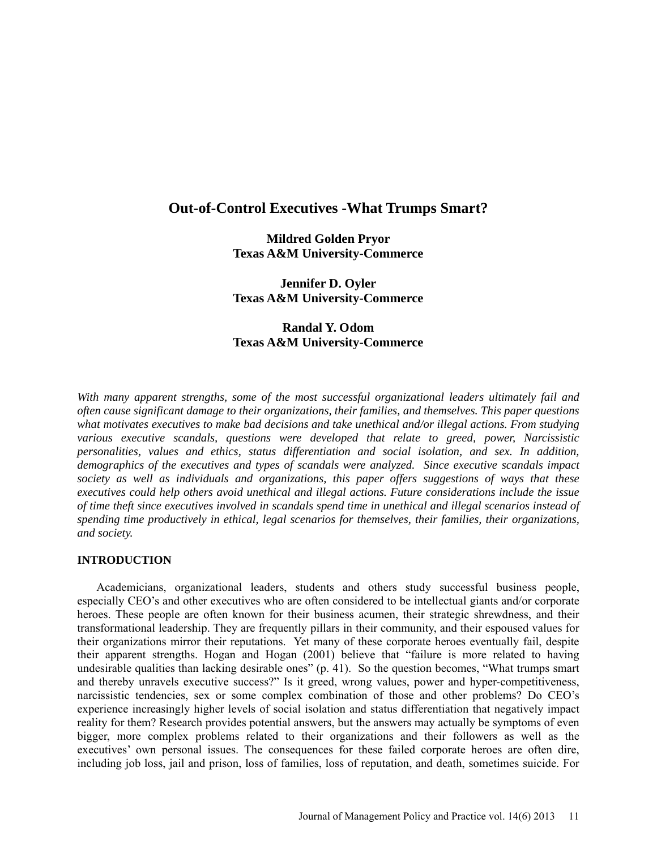# **Out-of-Control Executives -What Trumps Smart?**

**Mildred Golden Pryor Texas A&M University-Commerce**

**Jennifer D. Oyler Texas A&M University-Commerce**

# **Randal Y. Odom Texas A&M University-Commerce**

*With many apparent strengths, some of the most successful organizational leaders ultimately fail and often cause significant damage to their organizations, their families, and themselves. This paper questions what motivates executives to make bad decisions and take unethical and/or illegal actions. From studying various executive scandals, questions were developed that relate to greed, power, Narcissistic personalities, values and ethics, status differentiation and social isolation, and sex. In addition, demographics of the executives and types of scandals were analyzed. Since executive scandals impact society as well as individuals and organizations, this paper offers suggestions of ways that these executives could help others avoid unethical and illegal actions. Future considerations include the issue of time theft since executives involved in scandals spend time in unethical and illegal scenarios instead of spending time productively in ethical, legal scenarios for themselves, their families, their organizations, and society.* 

### **INTRODUCTION**

Academicians, organizational leaders, students and others study successful business people, especially CEO's and other executives who are often considered to be intellectual giants and/or corporate heroes. These people are often known for their business acumen, their strategic shrewdness, and their transformational leadership. They are frequently pillars in their community, and their espoused values for their organizations mirror their reputations. Yet many of these corporate heroes eventually fail, despite their apparent strengths. Hogan and Hogan (2001) believe that "failure is more related to having undesirable qualities than lacking desirable ones" (p. 41). So the question becomes, "What trumps smart and thereby unravels executive success?" Is it greed, wrong values, power and hyper-competitiveness, narcissistic tendencies, sex or some complex combination of those and other problems? Do CEO's experience increasingly higher levels of social isolation and status differentiation that negatively impact reality for them? Research provides potential answers, but the answers may actually be symptoms of even bigger, more complex problems related to their organizations and their followers as well as the executives' own personal issues. The consequences for these failed corporate heroes are often dire, including job loss, jail and prison, loss of families, loss of reputation, and death, sometimes suicide. For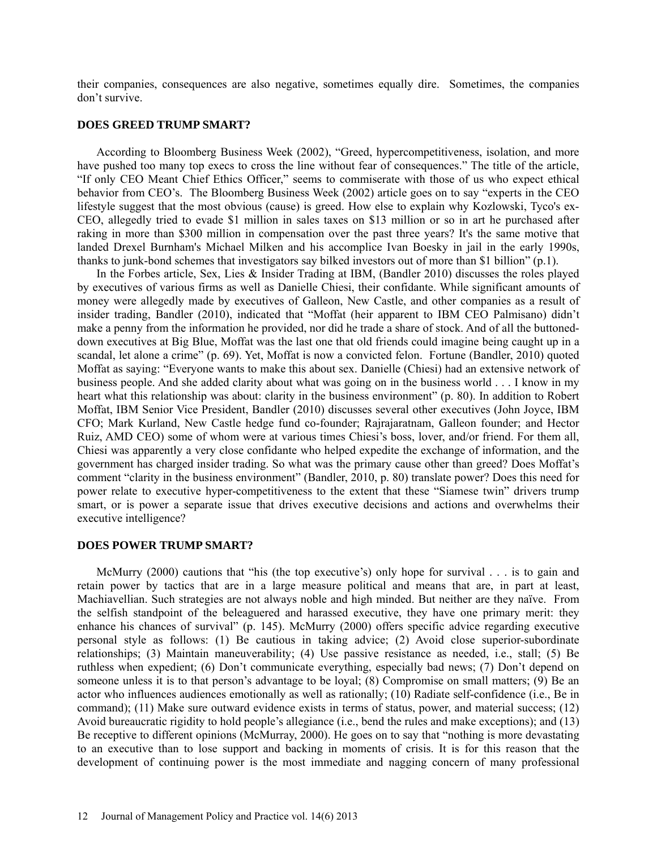their companies, consequences are also negative, sometimes equally dire. Sometimes, the companies don't survive.

#### **DOES GREED TRUMP SMART?**

According to Bloomberg Business Week (2002), "Greed, hypercompetitiveness, isolation, and more have pushed too many top execs to cross the line without fear of consequences." The title of the article, "If only CEO Meant Chief Ethics Officer," seems to commiserate with those of us who expect ethical behavior from CEO's. The Bloomberg Business Week (2002) article goes on to say "experts in the CEO lifestyle suggest that the most obvious (cause) is greed. How else to explain why Kozlowski, Tyco's ex-CEO, allegedly tried to evade \$1 million in sales taxes on \$13 million or so in art he purchased after raking in more than \$300 million in compensation over the past three years? It's the same motive that landed Drexel Burnham's Michael Milken and his accomplice Ivan Boesky in jail in the early 1990s, thanks to junk-bond schemes that investigators say bilked investors out of more than \$1 billion" (p.1).

In the Forbes article, Sex, Lies & Insider Trading at IBM, (Bandler 2010) discusses the roles played by executives of various firms as well as Danielle Chiesi, their confidante. While significant amounts of money were allegedly made by executives of Galleon, New Castle, and other companies as a result of insider trading, Bandler (2010), indicated that "Moffat (heir apparent to IBM CEO Palmisano) didn't make a penny from the information he provided, nor did he trade a share of stock. And of all the buttoneddown executives at Big Blue, Moffat was the last one that old friends could imagine being caught up in a scandal, let alone a crime" (p. 69). Yet, Moffat is now a convicted felon. Fortune (Bandler, 2010) quoted Moffat as saying: "Everyone wants to make this about sex. Danielle (Chiesi) had an extensive network of business people. And she added clarity about what was going on in the business world . . . I know in my heart what this relationship was about: clarity in the business environment" (p. 80). In addition to Robert Moffat, IBM Senior Vice President, Bandler (2010) discusses several other executives (John Joyce, IBM CFO; Mark Kurland, New Castle hedge fund co-founder; Rajrajaratnam, Galleon founder; and Hector Ruiz, AMD CEO) some of whom were at various times Chiesi's boss, lover, and/or friend. For them all, Chiesi was apparently a very close confidante who helped expedite the exchange of information, and the government has charged insider trading. So what was the primary cause other than greed? Does Moffat's comment "clarity in the business environment" (Bandler, 2010, p. 80) translate power? Does this need for power relate to executive hyper-competitiveness to the extent that these "Siamese twin" drivers trump smart, or is power a separate issue that drives executive decisions and actions and overwhelms their executive intelligence?

#### **DOES POWER TRUMP SMART?**

McMurry (2000) cautions that "his (the top executive's) only hope for survival . . . is to gain and retain power by tactics that are in a large measure political and means that are, in part at least, Machiavellian. Such strategies are not always noble and high minded. But neither are they naïve. From the selfish standpoint of the beleaguered and harassed executive, they have one primary merit: they enhance his chances of survival" (p. 145). McMurry (2000) offers specific advice regarding executive personal style as follows: (1) Be cautious in taking advice; (2) Avoid close superior-subordinate relationships; (3) Maintain maneuverability; (4) Use passive resistance as needed, i.e., stall; (5) Be ruthless when expedient; (6) Don't communicate everything, especially bad news; (7) Don't depend on someone unless it is to that person's advantage to be loyal; (8) Compromise on small matters; (9) Be an actor who influences audiences emotionally as well as rationally; (10) Radiate self-confidence (i.e., Be in command); (11) Make sure outward evidence exists in terms of status, power, and material success; (12) Avoid bureaucratic rigidity to hold people's allegiance (i.e., bend the rules and make exceptions); and (13) Be receptive to different opinions (McMurray, 2000). He goes on to say that "nothing is more devastating to an executive than to lose support and backing in moments of crisis. It is for this reason that the development of continuing power is the most immediate and nagging concern of many professional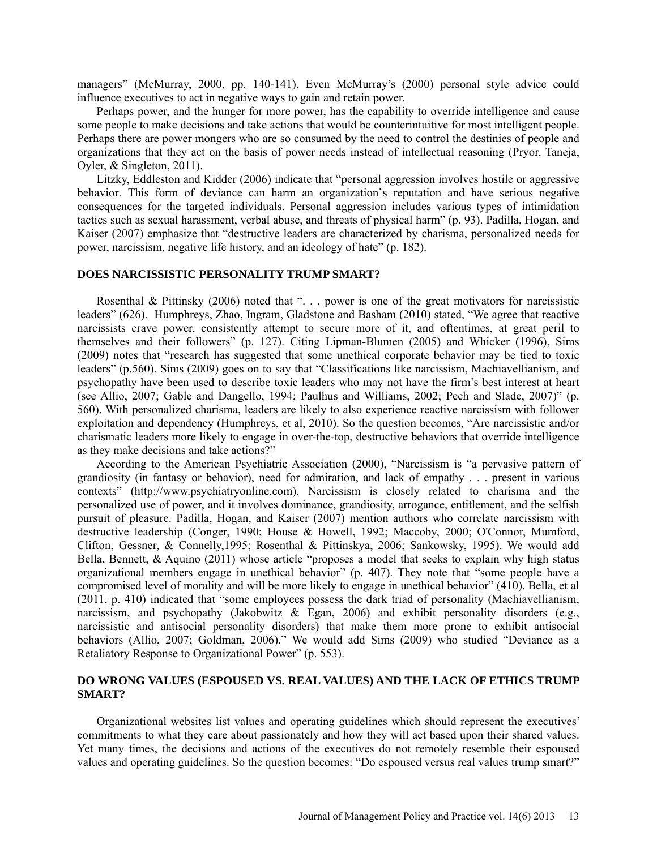managers" (McMurray, 2000, pp. 140-141). Even McMurray's (2000) personal style advice could influence executives to act in negative ways to gain and retain power.

Perhaps power, and the hunger for more power, has the capability to override intelligence and cause some people to make decisions and take actions that would be counterintuitive for most intelligent people. Perhaps there are power mongers who are so consumed by the need to control the destinies of people and organizations that they act on the basis of power needs instead of intellectual reasoning (Pryor, Taneja, Oyler, & Singleton, 2011).

Litzky, Eddleston and Kidder (2006) indicate that "personal aggression involves hostile or aggressive behavior. This form of deviance can harm an organization's reputation and have serious negative consequences for the targeted individuals. Personal aggression includes various types of intimidation tactics such as sexual harassment, verbal abuse, and threats of physical harm" (p. 93). Padilla, Hogan, and Kaiser (2007) emphasize that "destructive leaders are characterized by charisma, personalized needs for power, narcissism, negative life history, and an ideology of hate" (p. 182).

#### **DOES NARCISSISTIC PERSONALITY TRUMP SMART?**

Rosenthal & Pittinsky (2006) noted that ". . . power is one of the great motivators for narcissistic leaders" (626). Humphreys, Zhao, Ingram, Gladstone and Basham (2010) stated, "We agree that reactive narcissists crave power, consistently attempt to secure more of it, and oftentimes, at great peril to themselves and their followers" (p. 127). Citing Lipman-Blumen (2005) and Whicker (1996), Sims (2009) notes that "research has suggested that some unethical corporate behavior may be tied to toxic leaders" (p.560). Sims (2009) goes on to say that "Classifications like narcissism, Machiavellianism, and psychopathy have been used to describe toxic leaders who may not have the firm's best interest at heart (see Allio, 2007; Gable and Dangello, 1994; Paulhus and Williams, 2002; Pech and Slade, 2007)" (p. 560). With personalized charisma, leaders are likely to also experience reactive narcissism with follower exploitation and dependency (Humphreys, et al, 2010). So the question becomes, "Are narcissistic and/or charismatic leaders more likely to engage in over-the-top, destructive behaviors that override intelligence as they make decisions and take actions?"

According to the American Psychiatric Association (2000), "Narcissism is "a pervasive pattern of grandiosity (in fantasy or behavior), need for admiration, and lack of empathy . . . present in various contexts" (http://www.psychiatryonline.com). Narcissism is closely related to charisma and the personalized use of power, and it involves dominance, grandiosity, arrogance, entitlement, and the selfish pursuit of pleasure. Padilla, Hogan, and Kaiser (2007) mention authors who correlate narcissism with destructive leadership (Conger, 1990; House & Howell, 1992; Maccoby, 2000; O'Connor, Mumford, Clifton, Gessner, & Connelly,1995; Rosenthal & Pittinskya, 2006; Sankowsky, 1995). We would add Bella, Bennett, & Aquino (2011) whose article "proposes a model that seeks to explain why high status organizational members engage in unethical behavior" (p. 407). They note that "some people have a compromised level of morality and will be more likely to engage in unethical behavior" (410). Bella, et al (2011, p. 410) indicated that "some employees possess the dark triad of personality (Machiavellianism, narcissism, and psychopathy (Jakobwitz  $\&$  Egan, 2006) and exhibit personality disorders (e.g., narcissistic and antisocial personality disorders) that make them more prone to exhibit antisocial behaviors (Allio, 2007; Goldman, 2006)." We would add Sims (2009) who studied "Deviance as a Retaliatory Response to Organizational Power" (p. 553).

### **DO WRONG VALUES (ESPOUSED VS. REAL VALUES) AND THE LACK OF ETHICS TRUMP SMART?**

Organizational websites list values and operating guidelines which should represent the executives' commitments to what they care about passionately and how they will act based upon their shared values. Yet many times, the decisions and actions of the executives do not remotely resemble their espoused values and operating guidelines. So the question becomes: "Do espoused versus real values trump smart?"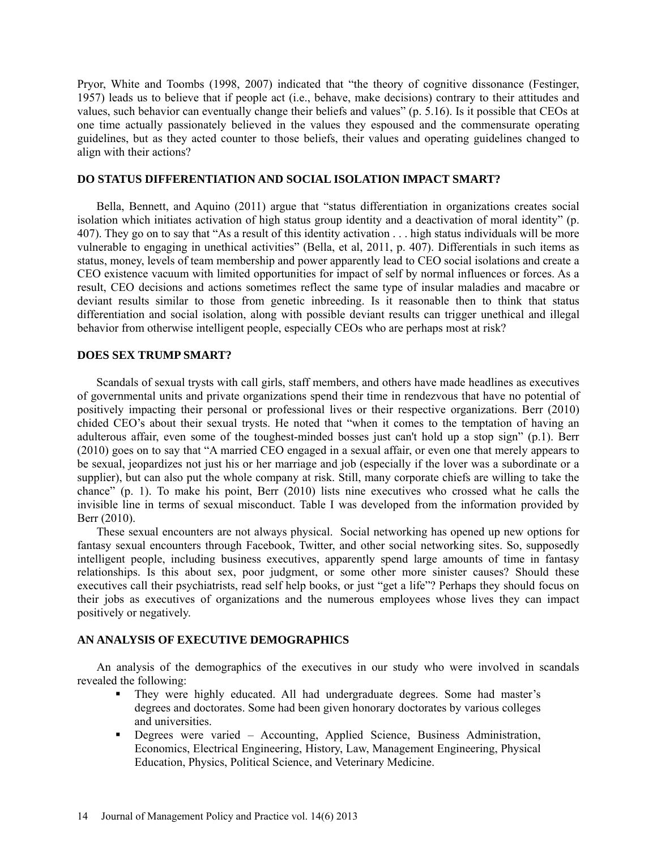Pryor, White and Toombs (1998, 2007) indicated that "the theory of cognitive dissonance (Festinger, 1957) leads us to believe that if people act (i.e., behave, make decisions) contrary to their attitudes and values, such behavior can eventually change their beliefs and values" (p. 5.16). Is it possible that CEOs at one time actually passionately believed in the values they espoused and the commensurate operating guidelines, but as they acted counter to those beliefs, their values and operating guidelines changed to align with their actions?

### **DO STATUS DIFFERENTIATION AND SOCIAL ISOLATION IMPACT SMART?**

Bella, Bennett, and Aquino (2011) argue that "status differentiation in organizations creates social isolation which initiates activation of high status group identity and a deactivation of moral identity" (p. 407). They go on to say that "As a result of this identity activation . . . high status individuals will be more vulnerable to engaging in unethical activities" (Bella, et al, 2011, p. 407). Differentials in such items as status, money, levels of team membership and power apparently lead to CEO social isolations and create a CEO existence vacuum with limited opportunities for impact of self by normal influences or forces. As a result, CEO decisions and actions sometimes reflect the same type of insular maladies and macabre or deviant results similar to those from genetic inbreeding. Is it reasonable then to think that status differentiation and social isolation, along with possible deviant results can trigger unethical and illegal behavior from otherwise intelligent people, especially CEOs who are perhaps most at risk?

#### **DOES SEX TRUMP SMART?**

Scandals of sexual trysts with call girls, staff members, and others have made headlines as executives of governmental units and private organizations spend their time in rendezvous that have no potential of positively impacting their personal or professional lives or their respective organizations. Berr (2010) chided CEO's about their sexual trysts. He noted that "when it comes to the temptation of having an adulterous affair, even some of the toughest-minded bosses just can't hold up a stop sign" (p.1). Berr (2010) goes on to say that "A married CEO engaged in a sexual affair, or even one that merely appears to be sexual, jeopardizes not just his or her marriage and job (especially if the lover was a subordinate or a supplier), but can also put the whole company at risk. Still, many corporate chiefs are willing to take the chance" (p. 1). To make his point, Berr (2010) lists nine executives who crossed what he calls the invisible line in terms of sexual misconduct. Table I was developed from the information provided by Berr (2010).

These sexual encounters are not always physical. Social networking has opened up new options for fantasy sexual encounters through Facebook, Twitter, and other social networking sites. So, supposedly intelligent people, including business executives, apparently spend large amounts of time in fantasy relationships. Is this about sex, poor judgment, or some other more sinister causes? Should these executives call their psychiatrists, read self help books, or just "get a life"? Perhaps they should focus on their jobs as executives of organizations and the numerous employees whose lives they can impact positively or negatively.

#### **AN ANALYSIS OF EXECUTIVE DEMOGRAPHICS**

An analysis of the demographics of the executives in our study who were involved in scandals revealed the following:

- They were highly educated. All had undergraduate degrees. Some had master's degrees and doctorates. Some had been given honorary doctorates by various colleges and universities.
- Degrees were varied Accounting, Applied Science, Business Administration, Economics, Electrical Engineering, History, Law, Management Engineering, Physical Education, Physics, Political Science, and Veterinary Medicine.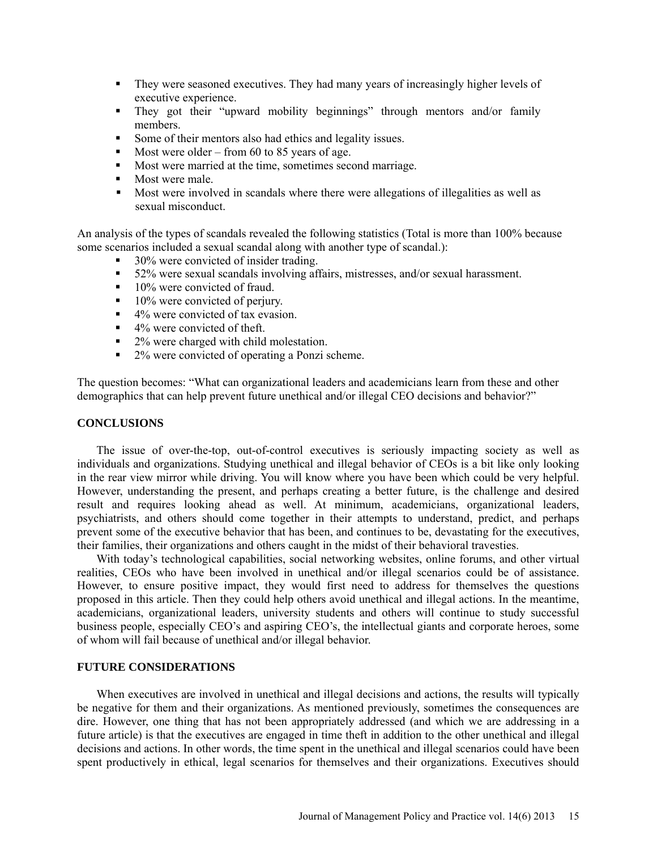- They were seasoned executives. They had many years of increasingly higher levels of executive experience.
- **They got their "upward mobility beginnings" through mentors and/or family** members.
- Some of their mentors also had ethics and legality issues.
- Most were older from 60 to 85 years of age.
- Most were married at the time, sometimes second marriage.
- $\blacksquare$  Most were male.
- Most were involved in scandals where there were allegations of illegalities as well as sexual misconduct.

An analysis of the types of scandals revealed the following statistics (Total is more than 100% because some scenarios included a sexual scandal along with another type of scandal.):

- 30% were convicted of insider trading.
- 52% were sexual scandals involving affairs, mistresses, and/or sexual harassment.
- $10\%$  were convicted of fraud.
- $10\%$  were convicted of perjury.
- $\blacksquare$  4% were convicted of tax evasion.
- $\blacksquare$  4% were convicted of theft.
- 2% were charged with child molestation.
- <sup>2%</sup> were convicted of operating a Ponzi scheme.

The question becomes: "What can organizational leaders and academicians learn from these and other demographics that can help prevent future unethical and/or illegal CEO decisions and behavior?"

### **CONCLUSIONS**

The issue of over-the-top, out-of-control executives is seriously impacting society as well as individuals and organizations. Studying unethical and illegal behavior of CEOs is a bit like only looking in the rear view mirror while driving. You will know where you have been which could be very helpful. However, understanding the present, and perhaps creating a better future, is the challenge and desired result and requires looking ahead as well. At minimum, academicians, organizational leaders, psychiatrists, and others should come together in their attempts to understand, predict, and perhaps prevent some of the executive behavior that has been, and continues to be, devastating for the executives, their families, their organizations and others caught in the midst of their behavioral travesties.

With today's technological capabilities, social networking websites, online forums, and other virtual realities, CEOs who have been involved in unethical and/or illegal scenarios could be of assistance. However, to ensure positive impact, they would first need to address for themselves the questions proposed in this article. Then they could help others avoid unethical and illegal actions. In the meantime, academicians, organizational leaders, university students and others will continue to study successful business people, especially CEO's and aspiring CEO's, the intellectual giants and corporate heroes, some of whom will fail because of unethical and/or illegal behavior.

### **FUTURE CONSIDERATIONS**

When executives are involved in unethical and illegal decisions and actions, the results will typically be negative for them and their organizations. As mentioned previously, sometimes the consequences are dire. However, one thing that has not been appropriately addressed (and which we are addressing in a future article) is that the executives are engaged in time theft in addition to the other unethical and illegal decisions and actions. In other words, the time spent in the unethical and illegal scenarios could have been spent productively in ethical, legal scenarios for themselves and their organizations. Executives should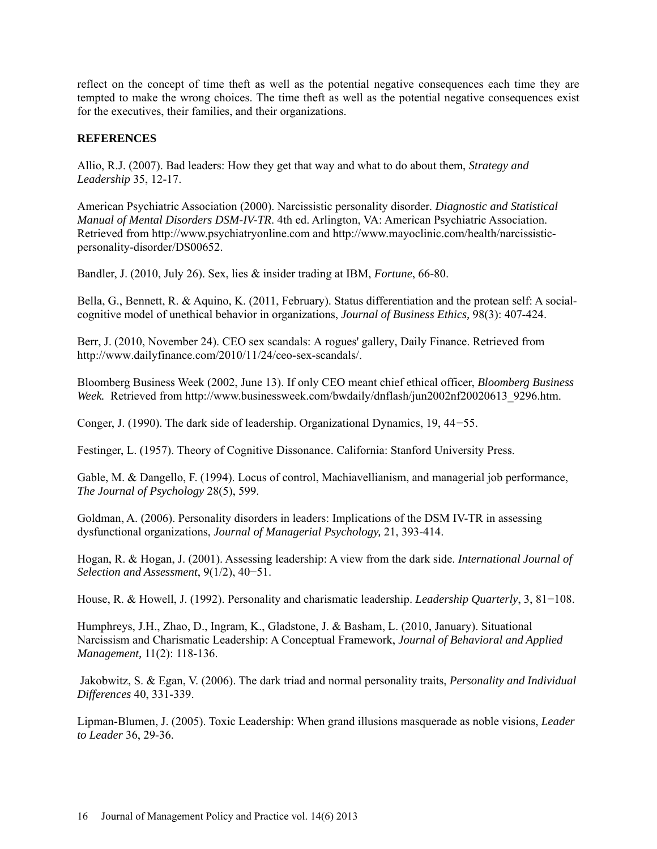reflect on the concept of time theft as well as the potential negative consequences each time they are tempted to make the wrong choices. The time theft as well as the potential negative consequences exist for the executives, their families, and their organizations.

# **REFERENCES**

Allio, R.J. (2007). Bad leaders: How they get that way and what to do about them, *Strategy and Leadership* 35, 12-17.

American Psychiatric Association (2000). Narcissistic personality disorder*. Diagnostic and Statistical Manual of Mental Disorders DSM-IV-TR*. 4th ed. Arlington, VA: American Psychiatric Association. Retrieved from http://www.psychiatryonline.com and http://www.mayoclinic.com/health/narcissisticpersonality-disorder/DS00652.

Bandler, J. (2010, July 26). Sex, lies & insider trading at IBM, *Fortune*, 66-80.

Bella, G., Bennett, R. & Aquino, K. (2011, February). Status differentiation and the protean self: A socialcognitive model of unethical behavior in organizations, *Journal of Business Ethics,* 98(3): 407-424.

Berr, J. (2010, November 24). CEO sex scandals: A rogues' gallery, Daily Finance. Retrieved from http://www.dailyfinance.com/2010/11/24/ceo-sex-scandals/.

Bloomberg Business Week (2002, June 13). If only CEO meant chief ethical officer, *Bloomberg Business Week.* Retrieved from http://www.businessweek.com/bwdaily/dnflash/jun2002nf20020613\_9296.htm.

Conger, J. (1990). The dark side of leadership. Organizational Dynamics, 19, 44−55.

Festinger, L. (1957). Theory of Cognitive Dissonance. California: Stanford University Press.

Gable, M. & Dangello, F. (1994). Locus of control, Machiavellianism, and managerial job performance, *The Journal of Psychology* 28(5), 599.

Goldman, A. (2006). Personality disorders in leaders: Implications of the DSM IV-TR in assessing dysfunctional organizations, *Journal of Managerial Psychology,* 21, 393-414.

Hogan, R. & Hogan, J. (2001). Assessing leadership: A view from the dark side. *International Journal of Selection and Assessment*, 9(1/2), 40−51.

House, R. & Howell, J. (1992). Personality and charismatic leadership. *Leadership Quarterly*, 3, 81−108.

Humphreys, J.H., Zhao, D., Ingram, K., Gladstone, J. & Basham, L. (2010, January). Situational Narcissism and Charismatic Leadership: A Conceptual Framework, *Journal of Behavioral and Applied Management,* 11(2): 118-136.

Jakobwitz, S. & Egan, V. (2006). The dark triad and normal personality traits, *Personality and Individual Differences* 40, 331-339.

Lipman-Blumen, J. (2005). Toxic Leadership: When grand illusions masquerade as noble visions, *Leader to Leader* 36, 29-36.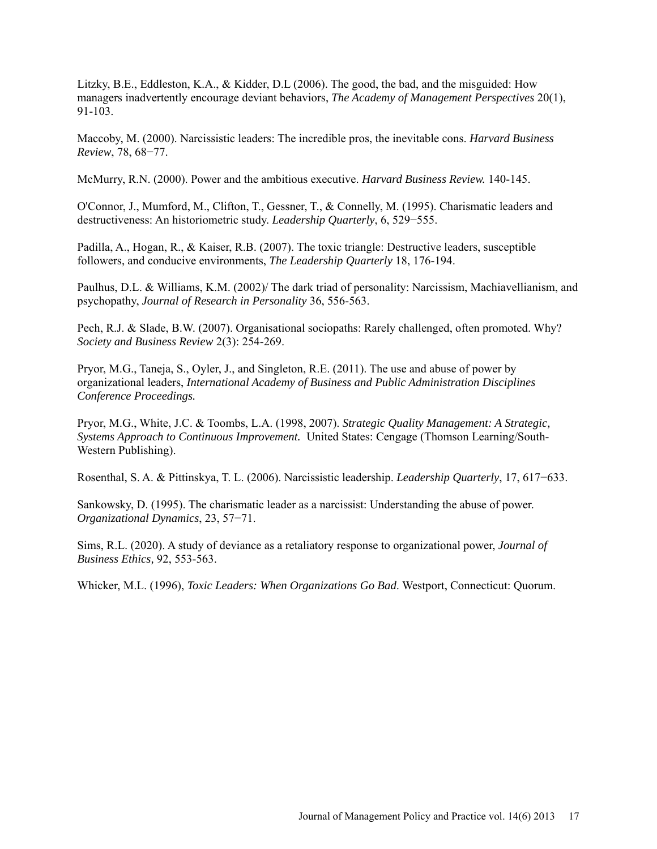Litzky, B.E., Eddleston, K.A., & Kidder, D.L (2006). The good, the bad, and the misguided: How managers inadvertently encourage deviant behaviors, *The Academy of Management Perspectives* 20(1), 91-103.

Maccoby, M. (2000). Narcissistic leaders: The incredible pros, the inevitable cons. *Harvard Business Review*, 78, 68−77.

McMurry, R.N. (2000). Power and the ambitious executive. *Harvard Business Review.* 140-145.

O'Connor, J., Mumford, M., Clifton, T., Gessner, T., & Connelly, M. (1995). Charismatic leaders and destructiveness: An historiometric study. *Leadership Quarterly*, 6, 529−555.

Padilla, A., Hogan, R., & Kaiser, R.B. (2007). The toxic triangle: Destructive leaders, susceptible followers, and conducive environments, *The Leadership Quarterly* 18, 176-194.

Paulhus, D.L. & Williams, K.M. (2002)/ The dark triad of personality: Narcissism, Machiavellianism, and psychopathy, *Journal of Research in Personality* 36, 556-563.

Pech, R.J. & Slade, B.W. (2007). Organisational sociopaths: Rarely challenged, often promoted. Why? *Society and Business Review* 2(3): 254-269.

Pryor, M.G., Taneja, S., Oyler, J., and Singleton, R.E. (2011). The use and abuse of power by organizational leaders, *International Academy of Business and Public Administration Disciplines Conference Proceedings.*

Pryor, M.G., White, J.C. & Toombs, L.A. (1998, 2007). *Strategic Quality Management: A Strategic, Systems Approach to Continuous Improvement.* United States: Cengage (Thomson Learning/South-Western Publishing).

Rosenthal, S. A. & Pittinskya, T. L. (2006). Narcissistic leadership. *Leadership Quarterly*, 17, 617−633.

Sankowsky, D. (1995). The charismatic leader as a narcissist: Understanding the abuse of power. *Organizational Dynamics*, 23, 57−71.

Sims, R.L. (2020). A study of deviance as a retaliatory response to organizational power, *Journal of Business Ethics,* 92, 553-563.

Whicker, M.L. (1996), *Toxic Leaders: When Organizations Go Bad*. Westport, Connecticut: Quorum.